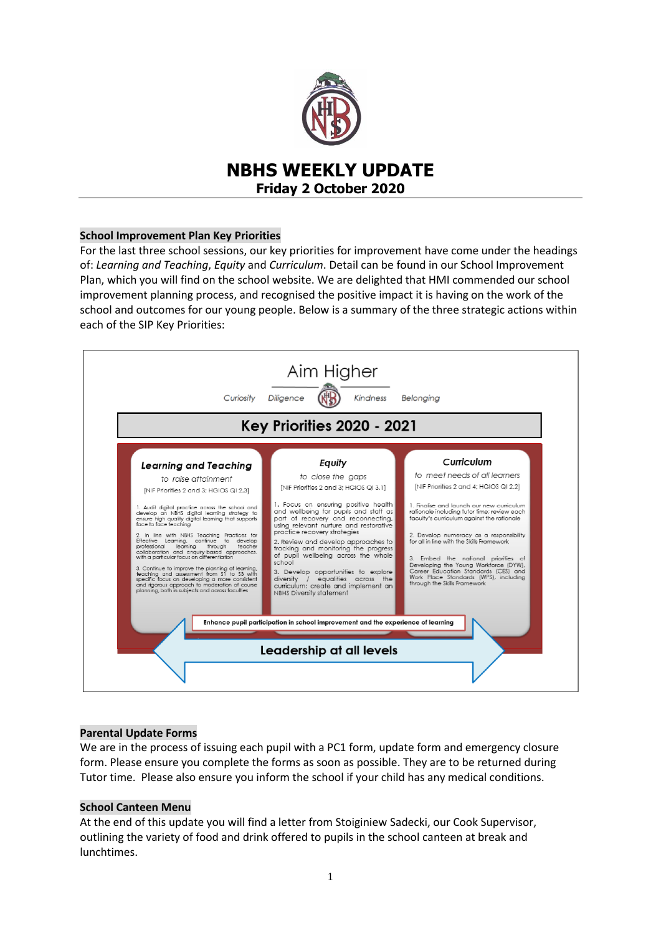

# **NBHS WEEKLY UPDATE Friday 2 October 2020**

## **School Improvement Plan Key Priorities**

For the last three school sessions, our key priorities for improvement have come under the headings of: *Learning and Teaching*, *Equity* and *Curriculum*. Detail can be found in our School Improvement Plan, which you will find on the school website. We are delighted that HMI commended our school improvement planning process, and recognised the positive impact it is having on the work of the school and outcomes for our young people. Below is a summary of the three strategic actions within each of the SIP Key Priorities:



# **Parental Update Forms**

We are in the process of issuing each pupil with a PC1 form, update form and emergency closure form. Please ensure you complete the forms as soon as possible. They are to be returned during Tutor time. Please also ensure you inform the school if your child has any medical conditions.

### **School Canteen Menu**

At the end of this update you will find a letter from Stoiginiew Sadecki, our Cook Supervisor, outlining the variety of food and drink offered to pupils in the school canteen at break and lunchtimes.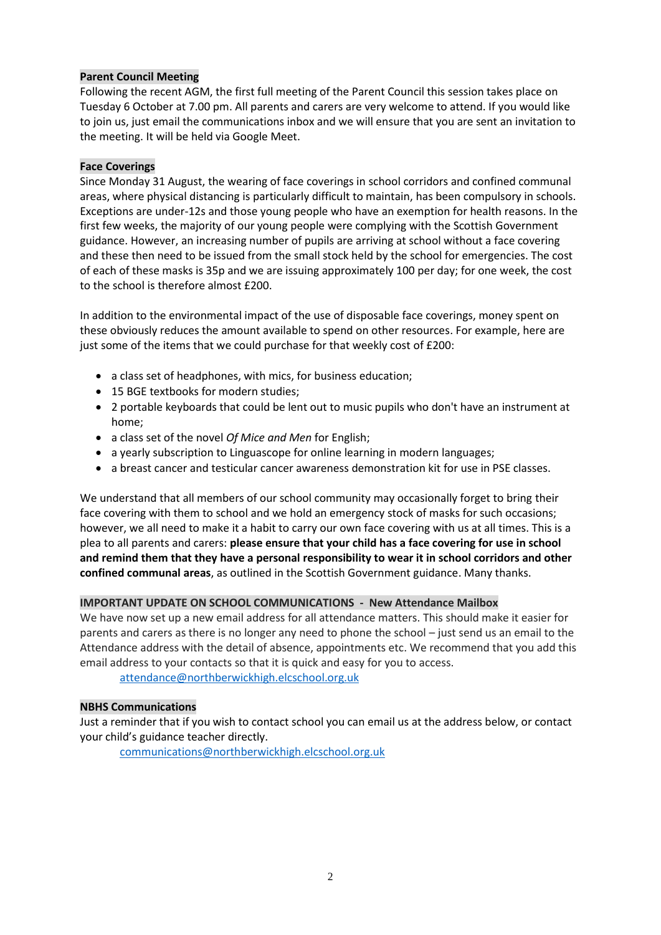# **Parent Council Meeting**

Following the recent AGM, the first full meeting of the Parent Council this session takes place on Tuesday 6 October at 7.00 pm. All parents and carers are very welcome to attend. If you would like to join us, just email the communications inbox and we will ensure that you are sent an invitation to the meeting. It will be held via Google Meet.

## **Face Coverings**

Since Monday 31 August, the wearing of face coverings in school corridors and confined communal areas, where physical distancing is particularly difficult to maintain, has been compulsory in schools. Exceptions are under-12s and those young people who have an exemption for health reasons. In the first few weeks, the majority of our young people were complying with the Scottish Government guidance. However, an increasing number of pupils are arriving at school without a face covering and these then need to be issued from the small stock held by the school for emergencies. The cost of each of these masks is 35p and we are issuing approximately 100 per day; for one week, the cost to the school is therefore almost £200.

In addition to the environmental impact of the use of disposable face coverings, money spent on these obviously reduces the amount available to spend on other resources. For example, here are just some of the items that we could purchase for that weekly cost of £200:

- a class set of headphones, with mics, for business education;
- 15 BGE textbooks for modern studies;
- 2 portable keyboards that could be lent out to music pupils who don't have an instrument at home;
- a class set of the novel *Of Mice and Men* for English;
- a yearly subscription to Linguascope for online learning in modern languages;
- a breast cancer and testicular cancer awareness demonstration kit for use in PSE classes.

We understand that all members of our school community may occasionally forget to bring their face covering with them to school and we hold an emergency stock of masks for such occasions; however, we all need to make it a habit to carry our own face covering with us at all times. This is a plea to all parents and carers: **please ensure that your child has a face covering for use in school and remind them that they have a personal responsibility to wear it in school corridors and other confined communal areas**, as outlined in the Scottish Government guidance. Many thanks.

### **IMPORTANT UPDATE ON SCHOOL COMMUNICATIONS - New Attendance Mailbox**

We have now set up a new email address for all attendance matters. This should make it easier for parents and carers as there is no longer any need to phone the school – just send us an email to the Attendance address with the detail of absence, appointments etc. We recommend that you add this email address to your contacts so that it is quick and easy for you to access.

[attendance@northberwickhigh.elcschool.org.uk](mailto:attendance@northberwickhigh.elcschool.org.uk)

### **NBHS Communications**

Just a reminder that if you wish to contact school you can email us at the address below, or contact your child's guidance teacher directly.

[communications@northberwickhigh.elcschool.org.uk](mailto:communications@northberwickhigh.elcschool.org.uk)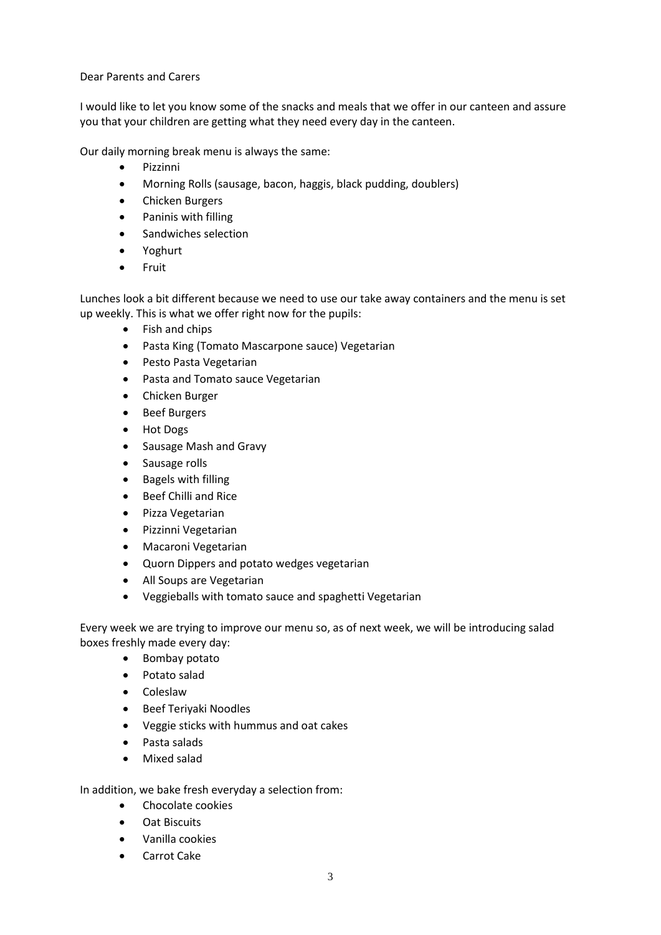Dear Parents and Carers

I would like to let you know some of the snacks and meals that we offer in our canteen and assure you that your children are getting what they need every day in the canteen.

Our daily morning break menu is always the same:

- Pizzinni
- Morning Rolls (sausage, bacon, haggis, black pudding, doublers)
- Chicken Burgers
- Paninis with filling
- Sandwiches selection
- Yoghurt
- Fruit

Lunches look a bit different because we need to use our take away containers and the menu is set up weekly. This is what we offer right now for the pupils:

- Fish and chips
- Pasta King (Tomato Mascarpone sauce) Vegetarian
- Pesto Pasta Vegetarian
- Pasta and Tomato sauce Vegetarian
- Chicken Burger
- Beef Burgers
- Hot Dogs
- Sausage Mash and Gravy
- Sausage rolls
- Bagels with filling
- Beef Chilli and Rice
- Pizza Vegetarian
- **•** Pizzinni Vegetarian
- Macaroni Vegetarian
- Quorn Dippers and potato wedges vegetarian
- All Soups are Vegetarian
- Veggieballs with tomato sauce and spaghetti Vegetarian

Every week we are trying to improve our menu so, as of next week, we will be introducing salad boxes freshly made every day:

- Bombay potato
- Potato salad
- Coleslaw
- **•** Beef Teriyaki Noodles
- Veggie sticks with hummus and oat cakes
- Pasta salads
- Mixed salad

In addition, we bake fresh everyday a selection from:

- Chocolate cookies
- Oat Biscuits
- Vanilla cookies
- Carrot Cake